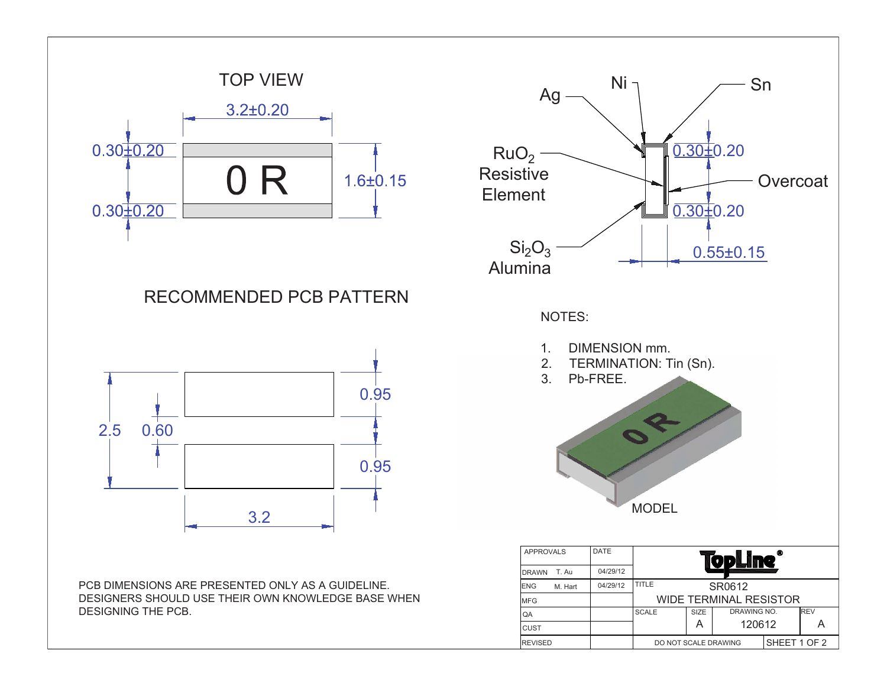